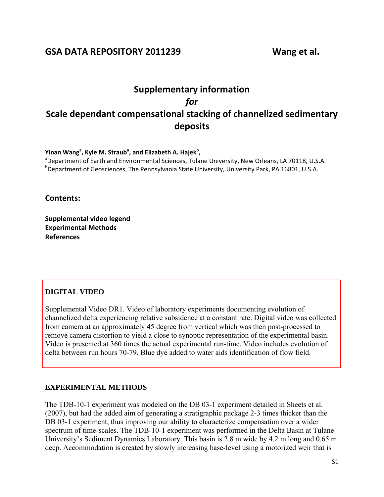## **GSA DATA REPOSITORY 2011239 Wang et al.**

# **Supplementary information** *for* **Scale dependant compensational stacking of channelized sedimentary deposits**

**Yinan Wang<sup>a</sup> , Kyle M. Straub<sup>a</sup> , and Elizabeth A. Hajek<sup>b</sup> ,**

<sup>a</sup>Department of Earth and Environmental Sciences, Tulane University, New Orleans, LA 70118, U.S.A. <sup>b</sup>Department of Geosciences, The Pennsylvania State University, University Park, PA 16801, U.S.A.

**Contents:**

**Supplemental video legend Experimental Methods References** 

### **DIGITAL VIDEO**

Supplemental Video DR1. Video of laboratory experiments documenting evolution of [channelized delta experiencing relative subsidence at a constant rate. Digital video was collected](ftp://rock.geosociety.org/pub/reposit/2011/2011239VideoDR1.mov)  from camera at an approximately 45 degree from vertical which was then post-processed to remove camera distortion to yield a close to synoptic representation of the experimental basin. Video is presented at 360 times the actual experimental run-time. Video includes evolution of delta between run hours 70-79. Blue dye added to water aids identification of flow field.

### **EXPERIMENTAL METHODS**

The TDB-10-1 experiment was modeled on the DB 03-1 experiment detailed in Sheets et al. (2007), but had the added aim of generating a stratigraphic package 2-3 times thicker than the DB 03-1 experiment, thus improving our ability to characterize compensation over a wider spectrum of time-scales. The TDB-10-1 experiment was performed in the Delta Basin at Tulane University's Sediment Dynamics Laboratory. This basin is 2.8 m wide by 4.2 m long and 0.65 m deep. Accommodation is created by slowly increasing base-level using a motorized weir that is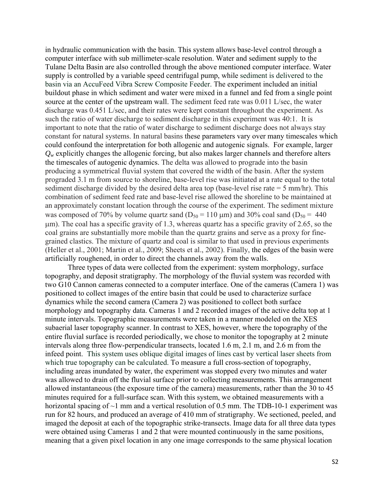in hydraulic communication with the basin. This system allows base-level control through a computer interface with sub millimeter-scale resolution. Water and sediment supply to the Tulane Delta Basin are also controlled through the above mentioned computer interface. Water supply is controlled by a variable speed centrifugal pump, while sediment is delivered to the basin via an AccuFeed Vibra Screw Composite Feeder. The experiment included an initial buildout phase in which sediment and water were mixed in a funnel and fed from a single point source at the center of the upstream wall. The sediment feed rate was 0.011 L/sec, the water discharge was 0.451 L/sec, and their rates were kept constant throughout the experiment. As such the ratio of water discharge to sediment discharge in this experiment was 40:1. It is important to note that the ratio of water discharge to sediment discharge does not always stay constant for natural systems. In natural basins these parameters vary over many timescales which could confound the interpretation for both allogenic and autogenic signals. For example, larger  $Q_w$  explicitly changes the allogenic forcing, but also makes larger channels and therefore alters the timescales of autogenic dynamics. The delta was allowed to prograde into the basin producing a symmetrical fluvial system that covered the width of the basin. After the system prograded 3.1 m from source to shoreline, base-level rise was initiated at a rate equal to the total sediment discharge divided by the desired delta area top (base-level rise rate = 5 mm/hr). This combination of sediment feed rate and base-level rise allowed the shoreline to be maintained at an approximately constant location through the course of the experiment. The sediment mixture was composed of 70% by volume quartz sand ( $D_{50} = 110 \mu m$ ) and 30% coal sand ( $D_{50} = 440$ m). The coal has a specific gravity of 1.3, whereas quartz has a specific gravity of 2.65, so the coal grains are substantially more mobile than the quartz grains and serve as a proxy for finegrained clastics. The mixture of quartz and coal is similar to that used in previous experiments (Heller et al., 2001; Martin et al., 2009; Sheets et al., 2002). Finally, the edges of the basin were artificially roughened, in order to direct the channels away from the walls.

Three types of data were collected from the experiment: system morphology, surface topography, and deposit stratigraphy. The morphology of the fluvial system was recorded with two G10 Cannon cameras connected to a computer interface. One of the cameras (Camera 1) was positioned to collect images of the entire basin that could be used to characterize surface dynamics while the second camera (Camera 2) was positioned to collect both surface morphology and topography data. Cameras 1 and 2 recorded images of the active delta top at 1 minute intervals. Topographic measurements were taken in a manner modeled on the XES subaerial laser topography scanner. In contrast to XES, however, where the topography of the entire fluvial surface is recorded periodically, we chose to monitor the topography at 2 minute intervals along three flow-perpendicular transects, located 1.6 m, 2.1 m, and 2.6 m from the infeed point. This system uses oblique digital images of lines cast by vertical laser sheets from which true topography can be calculated. To measure a full cross-section of topography, including areas inundated by water, the experiment was stopped every two minutes and water was allowed to drain off the fluvial surface prior to collecting measurements. This arrangement allowed instantaneous (the exposure time of the camera) measurements, rather than the 30 to 45 minutes required for a full-surface scan. With this system, we obtained measurements with a horizontal spacing of  $\sim$ 1 mm and a vertical resolution of 0.5 mm. The TDB-10-1 experiment was run for 82 hours, and produced an average of 410 mm of stratigraphy. We sectioned, peeled, and imaged the deposit at each of the topographic strike-transects. Image data for all three data types were obtained using Cameras 1 and 2 that were mounted continuously in the same positions, meaning that a given pixel location in any one image corresponds to the same physical location